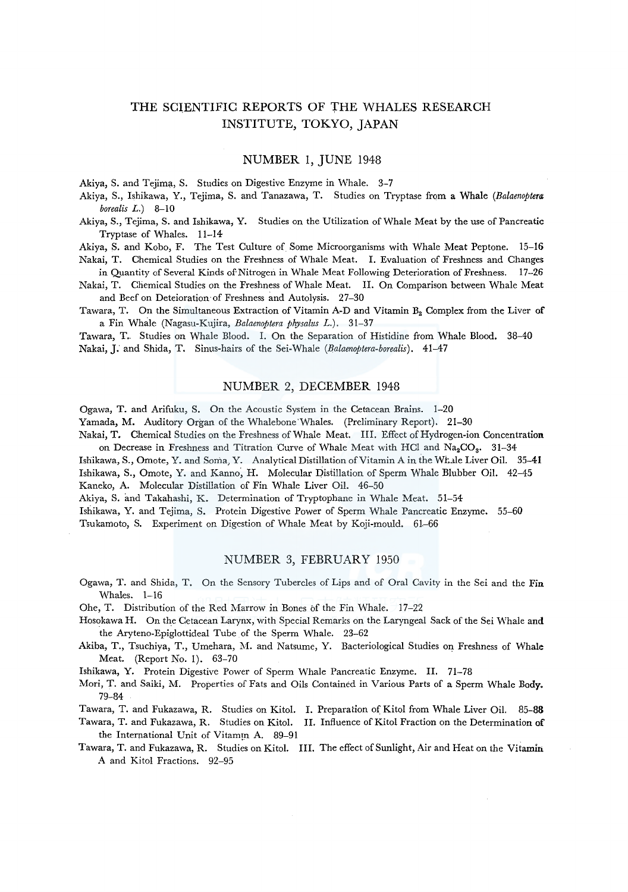# THE SCIENTIFIC REPORTS OF THE WHALES RESEARCH INSTITUTE, TOKYO, JAPAN

## NUMBER 1, JUNE 1948

Akiya, S. and Tejima, S. Studies on Digestive Enzyme in Whale. 3-7

Akiya, S., Ishikawa, Y., Tejima, S. and Tanazawa, T. Studies on Tryptase from a Whale *(Balaenoptera borealis* L.) 8-10

Akiya, S., Tejima, S. and Ishikawa; Y. Studies on the Utilization of Whale Meat by the use of Pancreatic Tryptase of Whales. 11-14

Akiya, S. and Kobo, F. The Test Culture of Some Microorganisms with Whale Meat Peptone. 15-16 Nakai, T. Chemical Studies on the Freshness of Whale Meat. I. Evaluation of Freshness and Changes

in Quantity of Several Kinds of Nitrogen in Whale Meat Following Deterioration of Freshness. 17-26 Nakai, T. Chemical Studies on the Freshness of Whale Meat. II. On Comparison between Whale Meat

and Beef on Deteioration·of Freshness and Autolysis. 27-30 Tawara, T. On the Simultaneous Extraction of Vitamin A-D and Vitamin  $B_2$  Complex from the Liver of

a Fin Whale (Nagasu-Kujira, *Balaenoptera physalus* L.). 31-37

Tawara, T.. Studies on Whale Blood. I. On the Separation of Histidine from Whale Blood. 38-40 Nakai,]: and Shida, T. Sinus-hairs of the Sei-Whale *(Ealaenoptera-borealis).* 41-47

## NUMBER 2, DECEMBER 1948

Ogawa, T. and Arifuku, S. On the Acoustic System in the Cetacean Brains. 1-20 Yamada, M. Auditory Organ of the Whalebone'Whales. (Preliminary Report). 21-30 Nakai, T. Chemical Studies on the Freshness of Whale Meat. III. Effect of Hydrogen-ion Concentration

on Decrease in Freshness and Titration Curve of Whale Meat with HCl and  $Na_2CO_3$ . 31-34 Ishikawa, S., Omote, Y. and Soma, Y. Analytical Distillation of Vitamin A in the Whale Liver Oil. 35-41 Ishikawa, S., Omote, Y. and Kanno, H. Molecular Distillation of Sperm Whale Blubber Oil. 42-45 Kaneko, A. Molecular Distillation of Fin Whale Liver Oil. 46-50

Akiya, S. and Takahashi, K. Determination of Tryptophane in Whale Meat. 51-54

Ishikawa, Y. and Tejima, S. Protein Digestive Power of Sperm Whale Pancreatic Enzyme. 55-60

Tsukamoto, S. Experiment on Digestion of Whale Meat by Koji-mould. 61.-66

#### NUMBER 3, FEBRUARY 1950

Ogawa, T. and Shida, T. On the Sensory Tubercles of Lips and of Oral Cavity in the Sei and the Fin Whales. 1-16

Ohe, T. Distribution of the Red Marrow in Bones of the Fin Whale. 17-22

- Hosokawa H. On the Cetacean Larynx, with Special Remarks on the Laryngeal Sack of the Sei Whale and the Aryteno-Epiglottideal Tube of the Sperm Whale. 23-62
- Akiba, T., Tsuchiya, T., Umehara, M. and Natsume, Y. Bacteriological Studies on Freshness of Whale Meat. (Report No. 1). 63-70

Ishikawa, Y. Protein Digestive Power of Sperm Whale Pancreatic Enzyme. II. 71-78

Mori, T. and Saiki, M. Properties of Fats and Oils Contained in Various Parts of a Sperm Whale Body. 79-84

Tawara, T. and Fukazawa, R. Studies on Kitol. I. Preparation of Kitol from Whale Liver Oil. 85-88

Tawara, T. and Fukazawa, R. Studies on Kitol. II. Influence of Kitol Fraction on the Determination of the International Unit of Vitamin A. 89-91

Tawara, T. and Fukazawa, R. Studies on Kitol. III. The effect of Sunlight, Air and Heat on the Vitamin A and Kitol Fractions. 92-95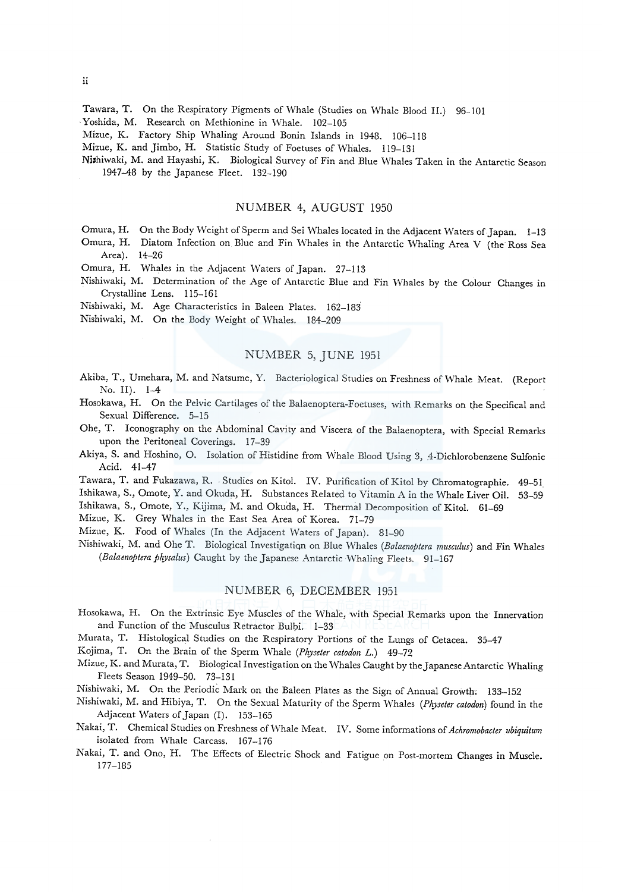Tawara, T. On the Respiratory Pigments of Whale (Studies on Whale Blood II.) 96-101

Yoshida, M. Research on Methionine in Whale. 102-105

Mizue, K. Factory Ship Whaling Around Bonin Islands in 1948. 106-118

Mizue, K. and Jimbo, H. Statistic Study of Foetuses of Whales. 119-131

Nishiwaki, M. and Hayashi, K. Biological Survey of Fin and Blue Whales Taken in the Antarctic Season 1947-48 by the Japanese Fleet. 132-190

## NUMBER 4, AUGUST 1950

- Omura, H. On the Body Weight of Sperm and Sei Whales located in the Adjacent Waters of Japan. 1-13
- Omura, H. Diatom Infection on Blue and Fin Whales in the Antarctic Whaling Area V (the Ross Sea Area). 14-26
- Omura, H. Whales in the Adjacent Waters of Japan. 27-113
- Nishiwaki, M. Determination of the Age of Antarctic Blue and Fin Whales by the Colour Changes in Crystalline Lens. 115-161
- Nishiwaki, M. Age Characteristics in Baleen Plates. 162-183
- Nishiwaki, M. On the Body Weight of Whales. 184-209

## NUMBER 5, JUNE 1951

- Akiba, T., Umehara, M. and Natsume, Y. Bacteriological Studies on Freshness of Whale Meat. (Report No. II). 1-4
- Hosokawa, H. On the Pelvic Cartilages of the Balaenoptera-Foetuscs, with Remarks on the Specifical and Sexual Difference. 5-15
- Ohe, T. Iconography on the Abdominal Cavity and Viscera of the Balaenoptera, with Special Remarks upon the Peritoneal Coverings. 17-39
- Akiya, S. and Hoshino, O. Isolation of Histidine from Whale Blood Using 3, 4-Dichlorobenzene Sulfonic Acid. 41-47
- Tawara, T. and Fukazawa, R. Studies on Kitol. IV. Purification of Kitol by Chromatographie. 49-51
- Ishikawa, S., Omote, Y. and Okuda, H. Substances Related to Vitamin A in the Whale Liver Oil. 53-59

Ishikawa, S., Omote, Y., Kijima, M. and Okuda, H. Thermal Decomposition of Kitol. 61-69

Mizue, K. Grey Whales in the East Sea Area of Korea. 71-79

Mizuc, K. Food of Whales (In the Adjacent Waters of Japan). 31-90

Nishiwaki, M. and Ohe T. Biological Investigation on Blue Whales (Balaenoptera musculus) and Fin Whales (Balaenoptera physalus) Caught by the Japanese Antarctic Whaling Fleets. 91-167

### NUMBER 6, DECEMBER 1951

- Hosokawa, H. On the Extrinsic Eye Muscles of the Whale, with Special Remarks upon the Innervation and Function of the Musculus Retractor Bulbi. 1-33
- Murata, T. Histological Studies on the Respiratory Portions of the Lungs of Cetacea. 35-47

Kojima, T. On the Brain of the Sperm Whale (Physeter catodon L.) 49-72

- Mizue, K. and Murata, T. Biological Investigation on the Whales Caught by the Japanese Antarctic Whaling Fleets Season 1949-50. 73-131
- Nishiwaki, M. On the Periodic Mark on the Baleen Plates as the Sign of Annual Growth; 133-152
- Nishiwaki, M. and Hibiya, T. On the Sexual Maturity of the Sperm Whales (Physeter catodon) found in the Adjacent Waters of Japan (I). 153-165
- Nakai, T. Chemical Studies on Freshness of Whale Meat. IV. Some informations of Achromobacter ubiquitum isolated from Whale Carcass. 167-176
- Nakai, T. and Ono, H. The Effects of Electric Shock and Fatigue on Post-mortem Changes in Muscle. 177-135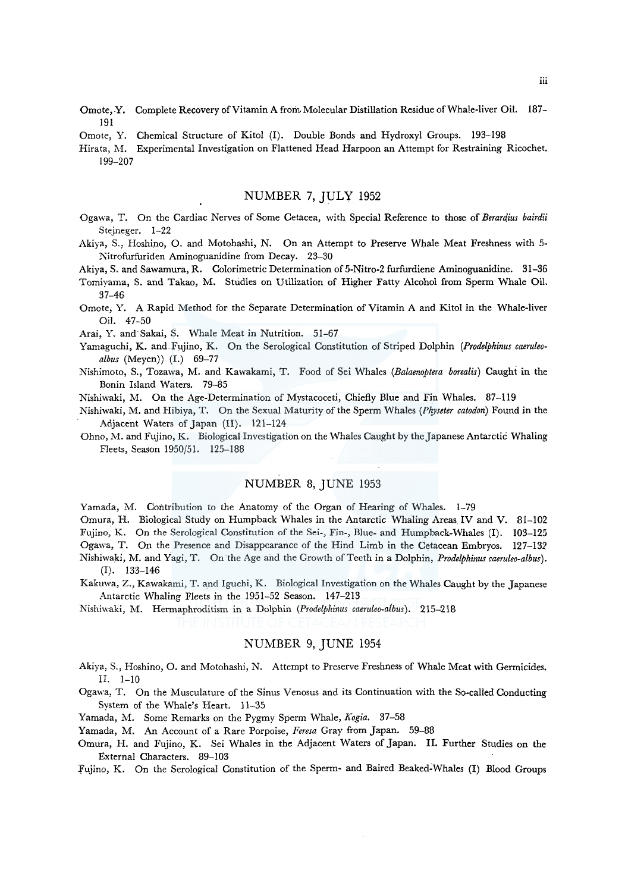- Omote, Y. Complete Recovery of Vitamin A from Molecular Distillation Residue of Whale-liver Oil. 187- 191
- Omote, Y. Chemical Structure of Kitol (I). Double Bonds and Hydroxyl Groups. 193-198
- Hirata, M. Experimental Investigation on Flattened Head Harpoon an Attempt for Restraining Ricochet. 199-207

## NUMBER 7, JULY 1952

- Ogawa, T. On the Cardiac Nerves of Some Cetacea, with Special Reference to those of *Berardius bairdii*  Steineger. 1-22
- Akiya, S., Hoshino, 0. and Motohashi, N. On an Attempt to Preserve Whale Meat Freshness with 5- Nitrofurfuriden Aminoguanidine from Decay. 23-30
- Akiya, S. and Sawamura, R. Colorimetric Determination of 5-Nitro-2 furfurdiene Aminoguanidine. 31-36
- Tomiyama, S. and Takao, M. Studies on Utilization of Higher Fatty Alcohol from Sperm Whale Oil. 37-46
- Omote, Y. A Rapid Method for the Separate Determination of Vitamin A and Kitol in the Whale-liver Oil. 47-50

Arai, Y. and· Sakai, S. Whale Meat in Nutrition. 51-67

- Yamaguchi, K. and.Fujino, K. On the Serological Constitution of Striped Dolphin *(Prodelphinus caeruleoalbus* (Meyen)) (I.) 69-77
- Nishimoto, S., Tozawa, M. and Kawakami, T. Food of Sei Whales *(Balaenoptera borealis)* Caught in the Bonin Island Waters. 79-85
- Nishiwaki, M. On the Age-Determination of Mystacoceti, Chiefly Blue and Fin Whales. 87-119
- Nishiwaki, M. and Hibiya, T. On the Sexual Maturity of the Sperm Whales *(Physeter catodon)* Found in the Adjacent Waters of Japan (II). 121-124
- Ohno, M. and Fujino, K. Biological Investigation on the Whales Caught by theJapanese Antarctic Whaling Fleets, Season 1950/51. 125-188

## NUMBER 8, JUNE 1953

Yamada, M. Contribution to the Anatomy of the Organ of Hearing of Whales. 1-79

Omura, H. Biological Study on Humpback Whales in the Antarctic Whaling Areas IV and V. 81-102

Fujino, K. On the Serological Constitution of the Sei-, Fin-, Blue- and Humpback-Whales (I). 103-125

Ogawa, T. On the Presence and Disappearance of the Hind Limb in the Cetacean Embryos. 127-132

- Nishiwaki, M. and Yagi, T. On.the Age and the Growth of Teeth in a Dolphin, *Prodelphinus caeruleo-albus).*  (I). 133-146
- Kakuwa, Z., Kawakami, T. and Iguchi, K. Biological Investigation on the Whales Caught by the Japanese Antarctic Whaling Fleets in the 1951-52 Season. 147-213
- Nishiwaki, M. Hermaphroditism in a Dolphin *(Prodelphinus caeruleo-albus).* 215-218

## NUMBER 9, JUNE 1954

- Akiya, S., Hoshino, 0. and Motohashi, N. Attempt to Preserve Freshness of Whale Meat with Germicides. II. 1-10
- Ogawa, T. On the Musculature of the Sinus Venosus and its Continuation with the So-called Conducting System of the Whale's Heart. 11-35
- Yamada, M. Some Remarks on the Pygmy Sperm Whale, *Kogia.* 37-58
- Yamada, M. An Account of a Rare Porpoise, *Feresa* Gray from Japan. 59-88
- Omura, H. and Fujino, K. Sei Whales in the Adjacent Waters of Japan. II. Further Studies on the External Characters. 89-103

:fujino, K. On the Serological Constitution of the Sperm- and Baired Beaked-Whales (I) Blood Groups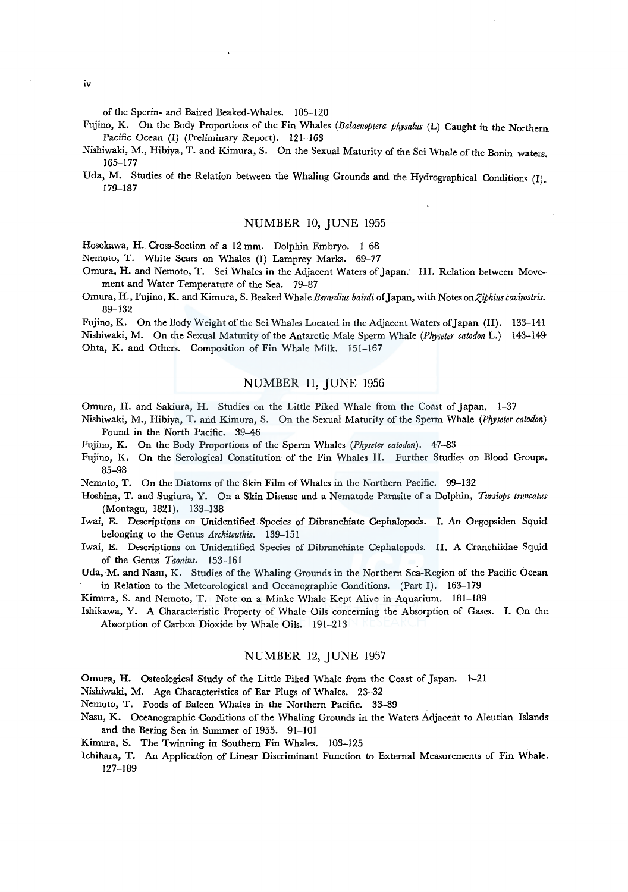of the Sperin- and Baired Beaked-Whales. 105-120

- Fujino, K. On the Body Proportions of the Fin Whales *(Balaenoptera physalus* (L) Caught in the Northern Pacific Ocean (I) (Preliminary Report). 121-163
- Nishiwaki, M., Hibiya, T. and Kimura, S. On the Sexual Maturity of the Sei Whale of the Bonin waters. 165-177
- Uda, M. Studies of the Relation between the Whaling Grounds and the Hydrographical Conditions (I). 179-187

## NUMBER 10, JUNE 1955

Hosokawa, H. Cross-Section of a 12 mm. Dolphin Embryo. 1-68

Nemoto, T. White Scars on Whales (I) Lamprey Marks. 69-77

- Omura, H. and Nemoto, T. Sei Whales in the Adjacent Waters of Japan: III. Relation between Movement and Water Temperature of the Sea. 79-87
- Omura, H., Fujino, K. and Kimura, S. Beaked Whale *Berardius bairdi* of Japan, with Notes *onZiphius cavirostris.*  89-132

Fujino, K. On the Body Weight of the Sei Whales Located in the Adjacent Waters of Japan (II). 133-141 Nishiwaki, M. On the Sexual Maturity of the Antarctic Male Sperm Whale *(Physeter. catodon L.)* 143-149 Ohta, K. and Others. Composition of Fin Whale Milk. 151-167

### NUMBER 11, JUNE 1956

Omura, H. and Sakiura, H. Studies on the Little Piked Whale from the Coast of Japan. 1-37

- Nishiwaki, M., Hibiya, T. and Kimura, S. On the Sexual Maturity of the Sperm Whale *(Physeter catodon)* Found in the North Pacific. 39-46
- Fujino, K. On the Body Proportions of the Sperm Whales *(Physeter catodon).* 47-83
- Fujino, K. On the Serological Constitution· of the Fin Whales II. Further Studies on Blood Groups. 85-98
- Nemoto, T. On the Diatoms of the Skin Film of Whales in the Northern Pacific. 99-132
- Hoshina, T. and Sugiura, Y. On a Skin Disease and a Nematode Parasite of a Dolphin, *Tursiops truncatus*  (Montagu, 1821). 133-138
- Iwai, E. Descriptions on Unidentified Species of Dibranchiate Cephalopods. I. An Oegopsiden Squid belonging to the Genus *Architeuthis.* 139-151
- Iwai, E. Descriptions on Unidentified Species of Dibranchiate Cephalopods. II. A Cranchiidae Squid of the Genus *Taonius.* 153-161
- Uda, M. and Nasu, K. Studies of the Whaling Grounds in the Northern Sea-Region of the Pacific Ocean in Relation to the Meteorological and Oceanographic Conditions. (Part I). 163-179
- Kimura, S. and Nemoto, T. Note on a Minke Whale Kept Alive in Aquarium. 181-189
- Ishikawa, Y. A Characteristic Property of Whale Oils concerning the Absorption of Gases. I. On the Absorption of Carbon Dioxide by Whale Oils. 191-213

#### NUMBER 12, JUNE 1957

- Omura, H. Osteological Study of the Little Piked Whale from the Coast of Japan. 1-21
- Nishiwaki, M. Age Characteristics of Ear Plugs of Whales. 23-32
- Nemoto, T. Foods of Baleen Whales in the Northern Pacific. 33-89
- Nasu, K. Oceanographic Conditions of the Whaling Grounds in the Waters Adjacent to Aleutian Islands and the Bering Sea in Summer of 1955. 91-101
- Kimura, S. The Twinning in Southern Fin Whales. 103-125
- Ichihara, T. An Application of Linear Discriminant Function to External Measurements of Fin Whale. 127-189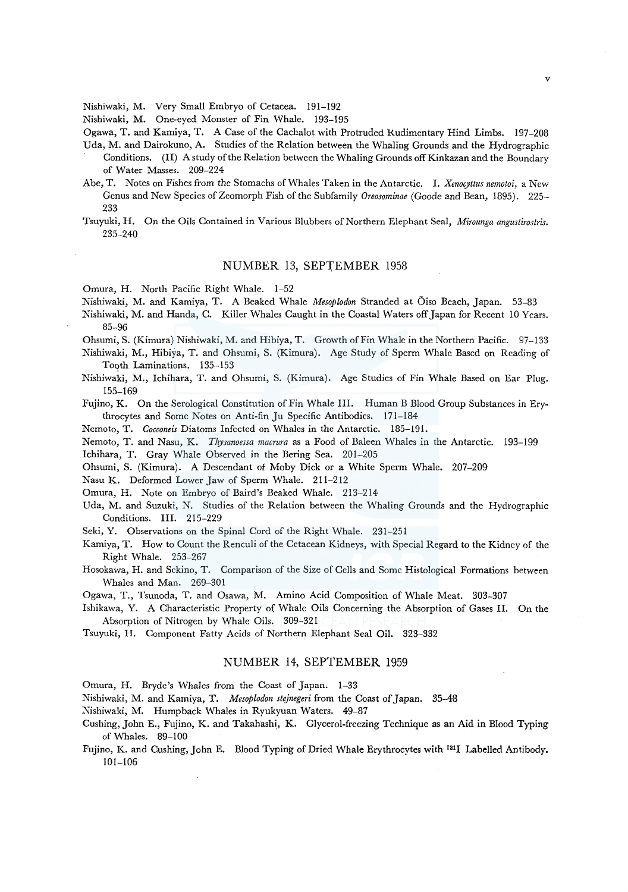Nishiwaki, M. Very Small Embryo of Cetacea. 191-192

Nishiwaki, M. One-eyed Monster of Fin Whale. 193-195

Ogawa, T. and Kamiya, T. A Case of the Cachalot with Protruded Rudimentary Hind Limbs. 197-208

- Uda, M. and Dairokuno, A. Studies of the Relation between the Whaling Grounds and the Hydrographic Conditions. (II) A study of the Relation between the Whaling Grounds off Kinkazan and the Boundary of Water Masses. 209-224
- Abe, T. Notes on Fishes from the Stomachs of Whales Taken in the Antarctic. I. *Xenocyttus nemotoi,* a New Genus and New Species of Zeomorph Fish of the Subfamily *Oreosominae* (Goode and Bean, 1895). 225- 233
- Tsuyuki, H. On the Oils Contained in Various Blubbers of Northern Elephant Seal, *.i\1irounga angustirostris.*  235-240

### NUMBER 13, SEPTEMBER 1958

Omura, H. North Pacific Right Whale. 1-52

Nishiwaki, M. and Kamiya, T. A Beaked Whale *Mesoplodon* Stranded at Oiso Beach, Japan. 53-83

- Nishiwaki, M. and Randa, C. Killer Whales Caught in the Coastal Waters off Japan for Recent 10 Years. 85-96
- Ohsumi, S. (Kimura) Nishiwaki, M. and Hibiya, T. Growth of Fin Whale in the Northern Pacific. 97-133
- Nishiwaki, M., Hibiya, T. and Ohsumi, S. (Kimura). Age Study of Sperm Whale Based on Reading of Tooth Laminations. 135-153
- Nishiwaki, M., Ichihara, T. and Ohsumi, S. (Kimura). Age Studies of Fin Whale Based on Ear Plug. 155-169

Fujino, K. On the Serological Constitution of Fin Whale III. Human B Blood Group Substances in Erythrocytes and Some Notes on Anti-fin Ju Specific Antibodies. 171-184

Nemoto, T. *Cocconeis* Diatoms Infected on Whales in the Antarctic. 185-191.

Nemoto, T. and Nasu, K. *Thysanoessa macrura* as a Food of Baleen \'\Thales in the Antarctic. 193-199

Ichihara, T. Gray Whale Observed in the Bering Sea. 201-205

Ohsumi, S. (Kimura). A Descendant of Moby Dick or a White Sperm Whale. 207-209

Nasu K. Deformed Lower Jaw of Sperm Whale. 211-212

Omura, H. Note on Embryo of Baird's Beaked Whale. 213-214

Uda, M. and Suzuki, N. Studies of the Relation between the Whaling Grounds and the Hydrographic Conditions. III. 215-229

Seki, Y. Observations on the Spinal Cord of the Right Whale. 231-251

- Kamiya, T. How to Count the Renculi of the Cetacean Kidneys, with Special Regard to the Kidney of the Right Whale. 253-267
- Hosokawa, H. and Sekino, T. Comparison of the Size of Cells and Some Histological Formations between Whales and Man. 269-301

Ogawa, T., Tsunoda, T. and Osawa, M. Amino Acid Composition of Whale Meat. 303-307

Ishikawa, Y. A Characteristic Property of Whale Oils Concerning the Absorption of Gases II. On the Absorption of Nitrogen by Whale Oils. 309-321

Tsuyuki, H. Component Fatty Acids of Northern Elephant Seal Oil. 323-332

### NUMBER 14, SEPTEMBER 1959

Omura, H. Bryde's Whales from the Coast of Japan. 1-33

Nishiwaki, M. and Kamiya, T. *Mesoplodon stejnegeri* from the Coast of Japan. 35-48

- Nishiwaki, M. Humpback Whales in Ryukyuan Waters. 49-87
- Cushing, John E., Fujino, K. and Takahashi., K. Glycerol-freezing Technique as an Aid in Blood Typing of Whales. 89-100
- Fujino, K. and Cushing, John E. Blood Typing of Dried Whale Erythrocytes with 1311 Labelled Antibody. 101-106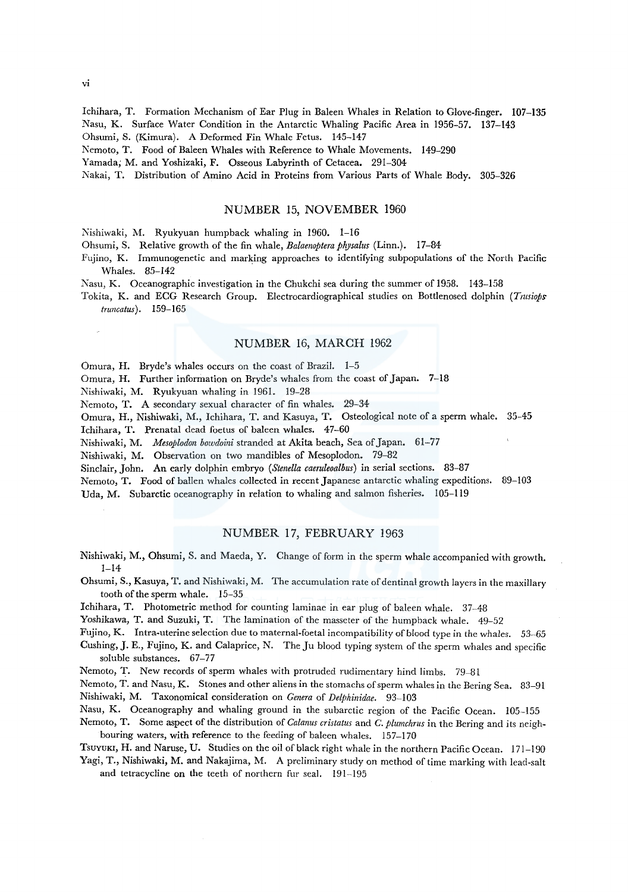Ichihara, T. Formation Mechanism of Ear Plug in Baleen Whales in Relation to Glove-finger. 107-135 Nasu, K. Surface Water Condition in the Antarctic Whaling Pacific Area in 1956-57. 137-143

Ohsumi, S. (Kimura). A Deformed Fin Whale Fetus. 145-147

Nemoto, T. Food of Baleen Whales with Reference to Whale Movements. 149-290

Yamada; M. and Yoshizaki, F. Osseous Labyrinth of Cetacea. 291-304

Nakai, T. Distribution of Amino Acid in Proteins from Various Parts of Whale Body. 305-326

## NUMBER 15, NOVEMBER 1960

Nishiwaki, M. Ryukyuan humpback whaling in 1960. 1-16

Ohsumi, S. Relative growth of the fin whale, *Balaenoptera physalus* (Linn.). 17-84

- Fujino, K. Immunogenetic and marking approaches to identifying subpopulations of the North Pacific Whales. 85-142
- Nasu, K. Oceanographic investigation in the Chukchi sea during the summer of 1958. 143-158
- Tokita, K. and ECG Research Group. Electrocardiographical studies on Bottlenosed dolphin *(Trusiops truncatus).* 159-165

## NUMBER 16, MARCH 1962

Omura, H. Bryde's whales occurs on the coast of Brazil. 1-5

Omura, H. Further information on Bryde's whales from the coast of Japan. 7-18

Nishiwaki, M. Ryukyuan whaling in 1961. 19-28

Nemoto, T. A secondary sexual character of fin whales. 29-34

Omura, H., Nishiwaki, M., Ichihara, T. and Kasuya, T. Osteological note of a sperm whale. 35-45

Ichihara, T. Prenatal dead foetus of baleen whales. 47-60

Nishiwaki, M. *Mesoplodon bowdoini* stranded at Akita beach, Sea of Japan. 61-77

Nishiwaki, M. Observation on two mandibles of Mesoplodon. 79-82

Sinclair, John. An early dolphin embryo *(Stenella caeruleoalbus)* in serial sections. 83-87

Nemoto, T. Food of ballen whales collected in recent Japanese antarctic whaling expeditions. 89-103

Uda, M. Subarctic oceanography in relation to whaling and salmon fisheries. 105-119

## NUMBER 17, FEBRUARY 1963

- Nishiwaki, M., Ohsumi, S. and Maeda, Y. Change of form in the sperm whale accompanied with growth. 1-14
- Ohsumi, S., Kasuya, T. and Nishiwaki, M. The accumulation rate of dentinal growth layers in the maxillary tooth of the sperm whale. 15-35

Ichihara, T. Photometric method for counting laminae in ear plug of baleen whale. 37-48

Yoshikawa, T. and Suzuki, T. The lamination of the masseter of the humpback whale. 49-52

Fujino, K. Intra-uterine selection due to maternal-foetal incompatibility of blood type in the whales. 53-65

Cushing, J.E., Fujino, K. and Calaprice, N. The Ju blood typing system of the sperm whales and specific soluble substances. 67-77

Nemoto, T. New records of sperm whales with protruded rudimentary hind limbs. 79-81

Nemoto, T. and Nasu, K. Stones and other aliens in the stomachs of sperm whales in the Bering Sea. 83-91 Nishiwaki, M. Taxonomical consideration on *Genera* of *Delphinidae*. 93-103

Nasu, K. Oceanography and whaling ground in the subarctic region of the Pacific Ocean. 105-155

Nemoto, T. Some aspect of the distribution of *Calanus cristatus* and *C. plumchrus* in the Bering and its neighbouring waters, with reference to the feeding of baleen whales. 157-170

Tsuyuki, H. and Naruse, U. Studies on the oil of black right whale in the northern Pacific Ocean. 171-190 Yagi, T., Nishiwaki, M. and Nakajima, M. A preliminary study on method of time marking with lead-salt

and tetracycline on the teeth of northern fur seal. 191-195